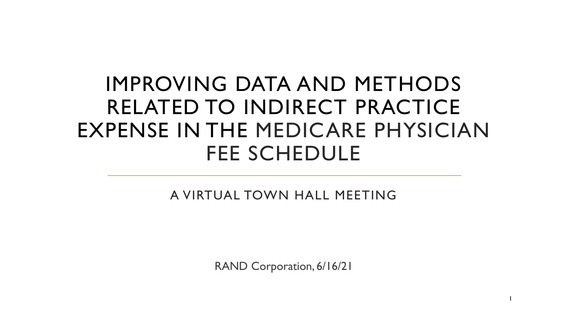# IMPROVING DATA AND METHODS RELATED TO INDIRECT PRACTICE EXPENSE IN THE MEDICARE PHYSICIAN FEE SCHEDULE

A VIRTUAL TOWN HALL MEETING

RAND Corporation, 6/16/21

1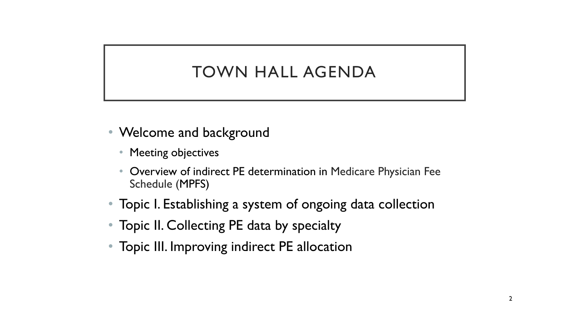### TOWN HALL AGENDA

- Welcome and background
	- Meeting objectives
	- Overview of indirect PE determination in Medicare Physician Fee Schedule (MPFS)
- Topic I. Establishing a system of ongoing data collection
- Topic II. Collecting PE data by specialty
- Topic III. Improving indirect PE allocation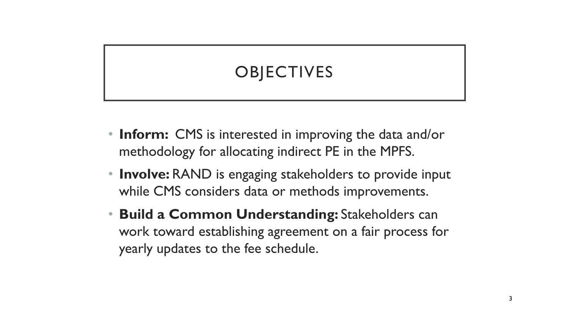# **OBJECTIVES**

- **Inform:** CMS is interested in improving the data and/or methodology for allocating indirect PE in the MPFS.
- **Involve:** RAND is engaging stakeholders to provide input while CMS considers data or methods improvements.
- **Build a Common Understanding:** Stakeholders can work toward establishing agreement on a fair process for yearly updates to the fee schedule.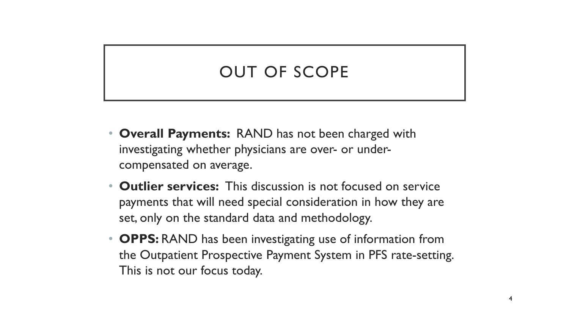# OUT OF SCOPE

- **Overall Payments:** RAND has not been charged with investigating whether physicians are over- or undercompensated on average.
- **Outlier services:** This discussion is not focused on service payments that will need special consideration in how they are set, only on the standard data and methodology.
- **OPPS:** RAND has been investigating use of information from the Outpatient Prospective Payment System in PFS rate-setting. This is not our focus today.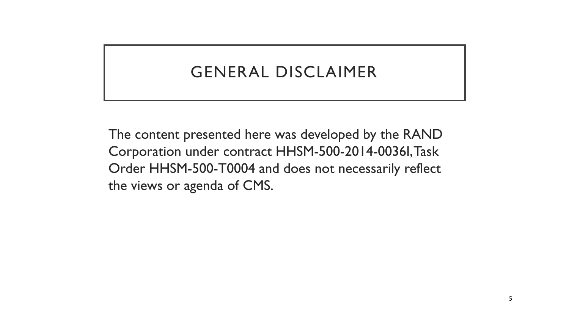## GENERAL DISCLAIMER

The content presented here was developed by the RAND Corporation under contract HHSM-500-2014-0036I, Task Order HHSM-500-T0004 and does not necessarily reflect the views or agenda of CMS.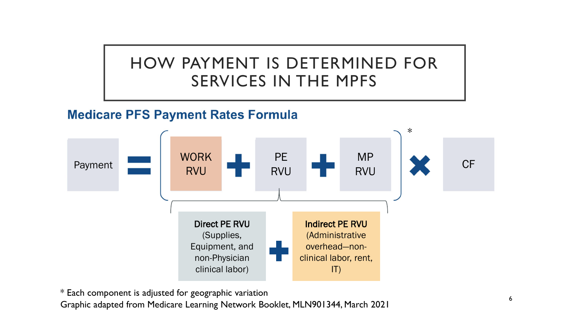# HOW PAYMENT IS DETERMINED FOR SERVICES IN THE MPFS

#### **Medicare PFS Payment Rates Formula**



\* Each component is adjusted for geographic variation <sup>6</sup> Graphic adapted from Medicare Learning Network Booklet, MLN901344, March 2021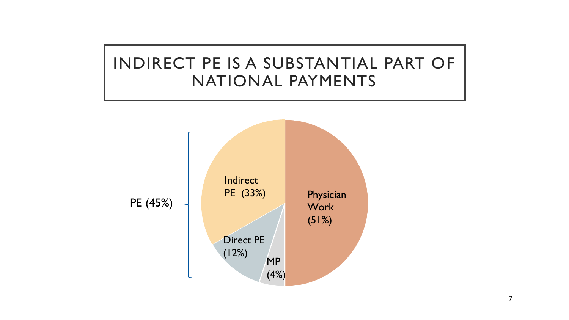# INDIRECT PE IS A SUBSTANTIAL PART OF NATIONAL PAYMENTS

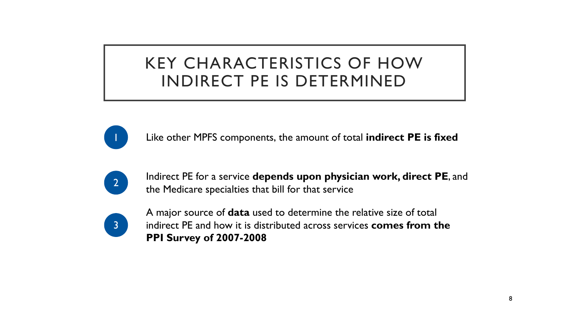# KEY CHARACTERISTICS OF HOW INDIRECT PE IS DETERMINED



1 Like other MPFS components, the amount of total **indirect PE is fixed**



**2** Indirect PE for a service **depends upon physician work, direct PE**, and the Medicare specialties that bill for that service



A major source of **data** used to determine the relative size of total indirect PE and how it is distributed across services **comes from the PPI Survey of 2007-2008**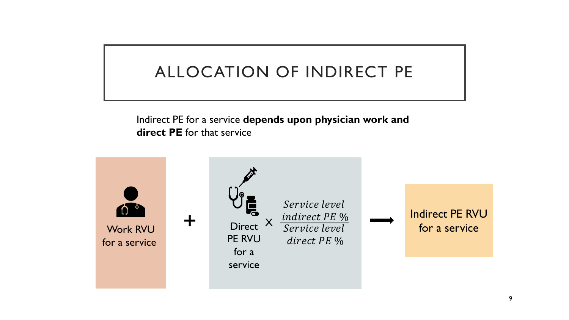# ALLOCATION OF INDIRECT PE

Indirect PE for a service **depends upon physician work and direct PE** for that service

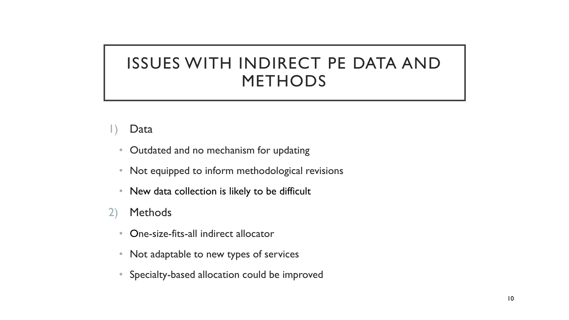# ISSUES WITH INDIRECT PE DATA AND METHODS

#### 1) Data

- Outdated and no mechanism for updating
- Not equipped to inform methodological revisions
- New data collection is likely to be difficult
- 2) Methods
	- One-size-fits-all indirect allocator
	- Not adaptable to new types of services
	- Specialty-based allocation could be improved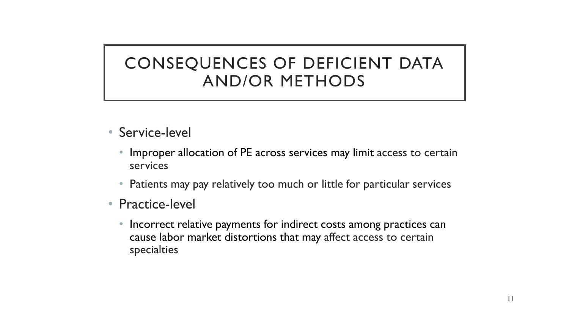# CONSEQUENCES OF DEFICIENT DATA AND/OR METHODS

- Service-level
	- Improper allocation of PE across services may limit access to certain services
	- Patients may pay relatively too much or little for particular services
- Practice-level
	- Incorrect relative payments for indirect costs among practices can cause labor market distortions that may affect access to certain specialties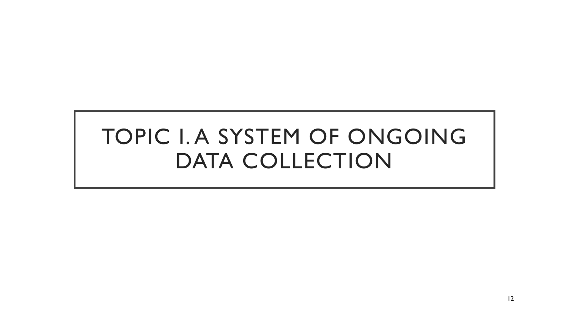# TOPIC I. A SYSTEM OF ONGOING DATA COLLECTION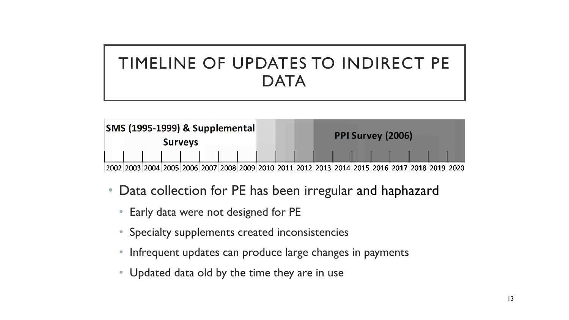# TIMELINE OF UPDATES TO INDIRECT PE **DATA**



- Data collection for PE has been irregular and haphazard
	- Early data were not designed for PE
	- Specialty supplements created inconsistencies
	- Infrequent updates can produce large changes in payments
	- Updated data old by the time they are in use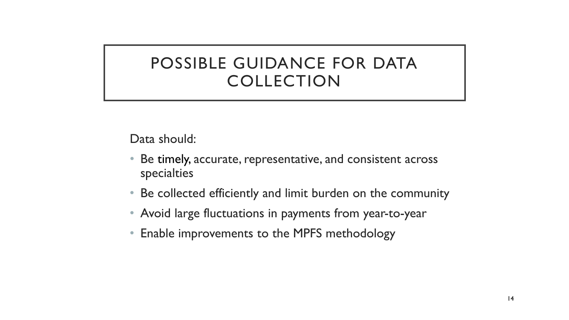## POSSIBLE GUIDANCE FOR DATA COLLECTION

Data should:

- Be timely, accurate, representative, and consistent across specialties
- Be collected efficiently and limit burden on the community
- Avoid large fluctuations in payments from year-to-year
- Enable improvements to the MPFS methodology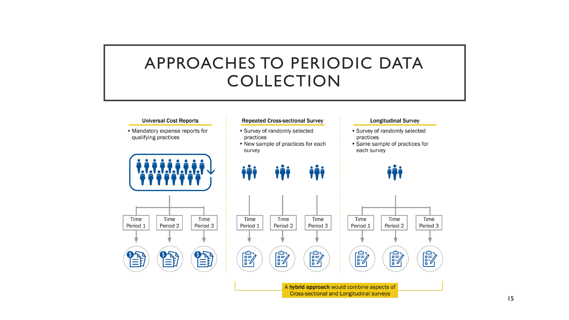### APPROACHES TO PERIODIC DATA COLLECTION

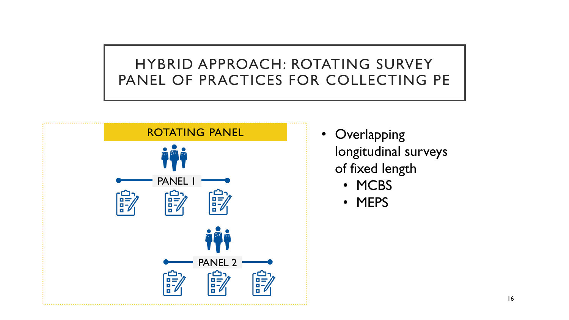#### HYBRID APPROACH: ROTATING SURVEY PANEL OF PRACTICES FOR COLLECTING PE



- Overlapping longitudinal surveys of fixed length
	- MCBS
	- MEPS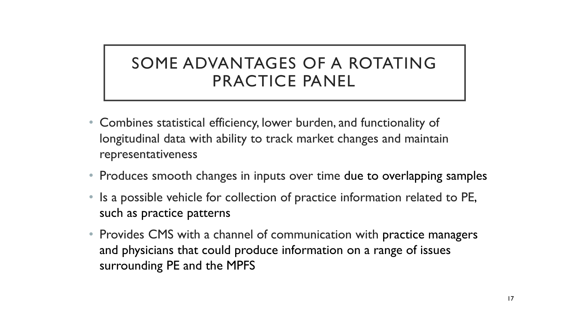# SOME ADVANTAGES OF A ROTATING PRACTICE PANEL

- Combines statistical efficiency, lower burden, and functionality of longitudinal data with ability to track market changes and maintain representativeness
- Produces smooth changes in inputs over time due to overlapping samples
- Is a possible vehicle for collection of practice information related to PE, such as practice patterns
- Provides CMS with a channel of communication with practice managers and physicians that could produce information on a range of issues surrounding PE and the MPFS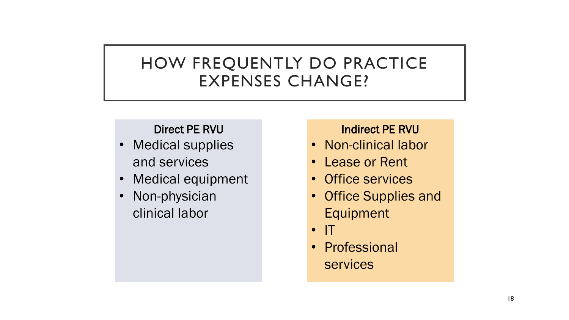# HOW FREQUENTLY DO PRACTICE EXPENSES CHANGE?

#### Direct PE RVU

- Medical supplies and services
- Medical equipment
- Non-physician clinical labor

#### Indirect PE RVU

- Non-clinical labor
- Lease or Rent
- Office services
- Office Supplies and Equipment
- IT
- Professional services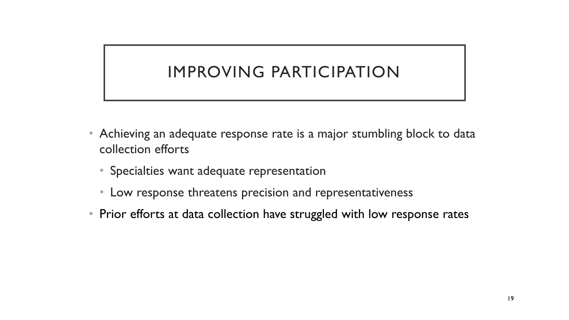# IMPROVING PARTICIPATION

- Achieving an adequate response rate is a major stumbling block to data collection efforts
	- Specialties want adequate representation
	- Low response threatens precision and representativeness
- Prior efforts at data collection have struggled with low response rates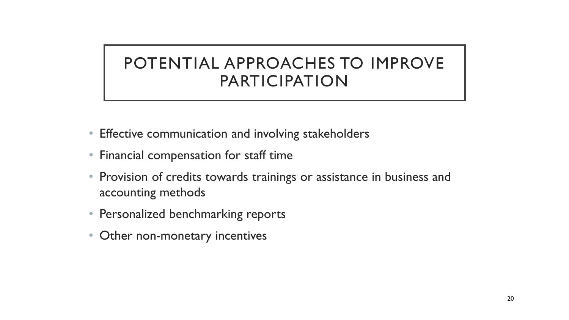# POTENTIAL APPROACHES TO IMPROVE PARTICIPATION

- Effective communication and involving stakeholders
- Financial compensation for staff time
- Provision of credits towards trainings or assistance in business and accounting methods
- Personalized benchmarking reports
- Other non-monetary incentives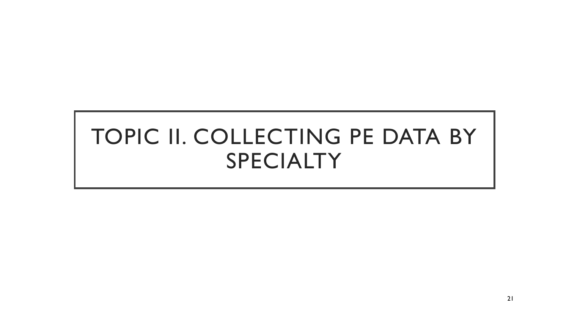# TOPIC II. COLLECTING PE DATA BY SPECIALTY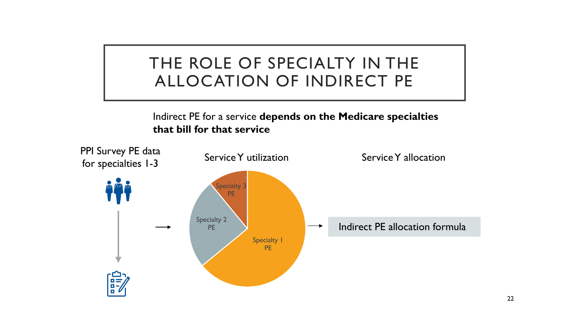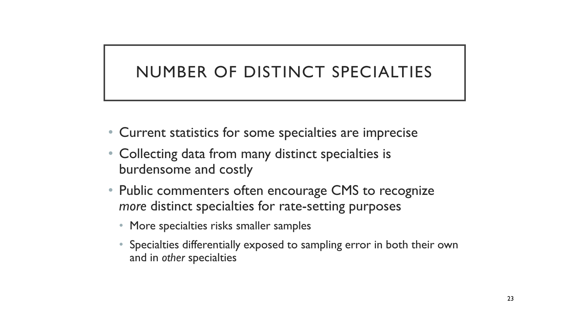# NUMBER OF DISTINCT SPECIALTIES

- Current statistics for some specialties are imprecise
- Collecting data from many distinct specialties is burdensome and costly
- Public commenters often encourage CMS to recognize *more* distinct specialties for rate-setting purposes
	- More specialties risks smaller samples
	- Specialties differentially exposed to sampling error in both their own and in *other* specialties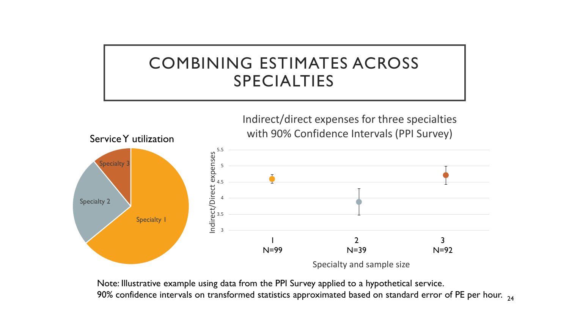# COMBINING ESTIMATES ACROSS SPECIALTIES



 $90\%$  confidence intervals on transformed statistics approximated based on standard error of PE per hour.  $_{\mathrm{24}}$ Note: Illustrative example using data from the PPI Survey applied to a hypothetical service.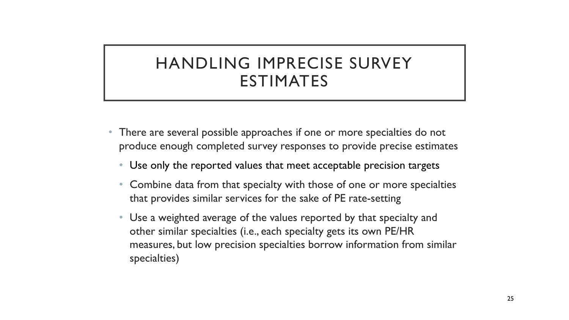# HANDLING IMPRECISE SURVEY ESTIMATES

- There are several possible approaches if one or more specialties do not produce enough completed survey responses to provide precise estimates
	- Use only the reported values that meet acceptable precision targets
	- Combine data from that specialty with those of one or more specialties that provides similar services for the sake of PE rate-setting
	- Use a weighted average of the values reported by that specialty and other similar specialties (i.e., each specialty gets its own PE/HR measures, but low precision specialties borrow information from similar specialties)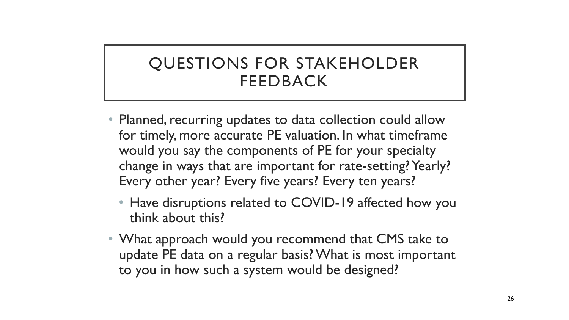# QUESTIONS FOR STAKEHOLDER FEEDBACK

- Planned, recurring updates to data collection could allow for timely, more accurate PE valuation. In what timeframe would you say the components of PE for your specialty change in ways that are important for rate-setting? Yearly? Every other year? Every five years? Every ten years?
	- Have disruptions related to COVID-19 affected how you think about this?
- What approach would you recommend that CMS take to update PE data on a regular basis? What is most important to you in how such a system would be designed?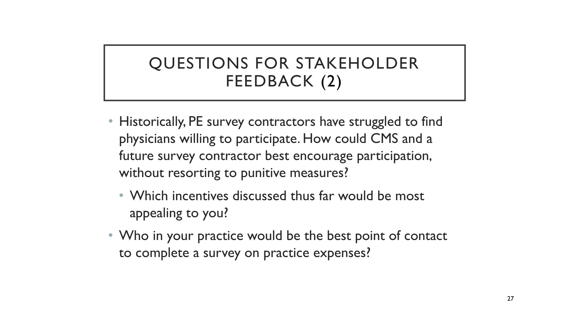# QUESTIONS FOR STAKEHOLDER FEEDBACK (2)

- Historically, PE survey contractors have struggled to find physicians willing to participate. How could CMS and a future survey contractor best encourage participation, without resorting to punitive measures?
	- Which incentives discussed thus far would be most appealing to you?
- Who in your practice would be the best point of contact to complete a survey on practice expenses?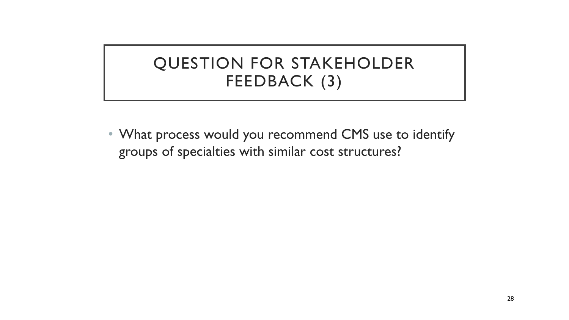# QUESTION FOR STAKEHOLDER FEEDBACK (3)

• What process would you recommend CMS use to identify groups of specialties with similar cost structures?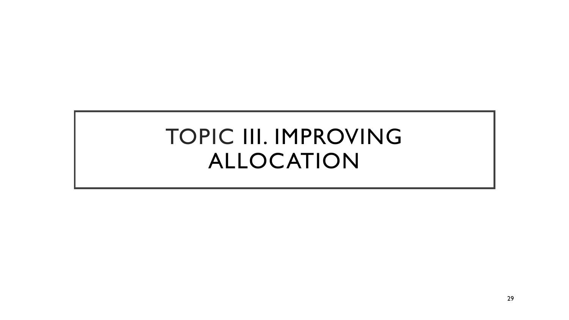# TOPIC III. IMPROVING ALLOCATION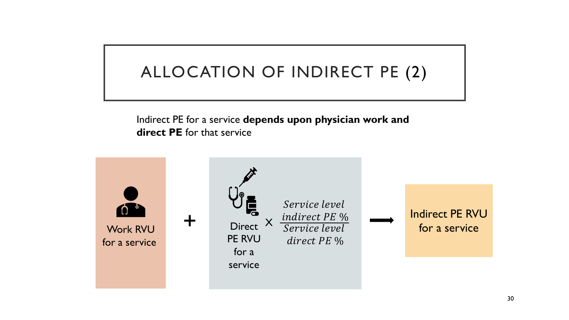# ALLOCATION OF INDIRECT PE (2)

Indirect PE for a service **depends upon physician work and direct PE** for that service

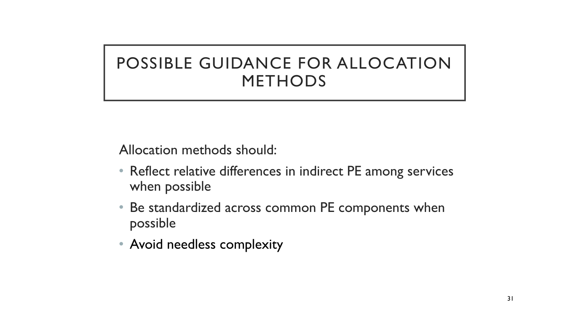# POSSIBLE GUIDANCE FOR ALLOCATION METHODS

Allocation methods should:

- Reflect relative differences in indirect PE among services when possible
- Be standardized across common PE components when possible
- Avoid needless complexity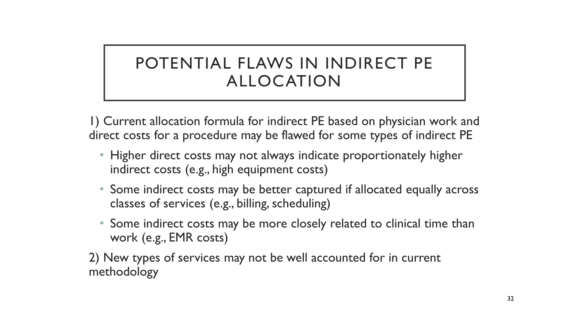# POTENTIAL FLAWS IN INDIRECT PE ALLOCATION

1) Current allocation formula for indirect PE based on physician work and direct costs for a procedure may be flawed for some types of indirect PE

- Higher direct costs may not always indicate proportionately higher indirect costs (e.g., high equipment costs)
- Some indirect costs may be better captured if allocated equally across classes of services (e.g., billing, scheduling)
- Some indirect costs may be more closely related to clinical time than work (e.g., EMR costs)

2) New types of services may not be well accounted for in current methodology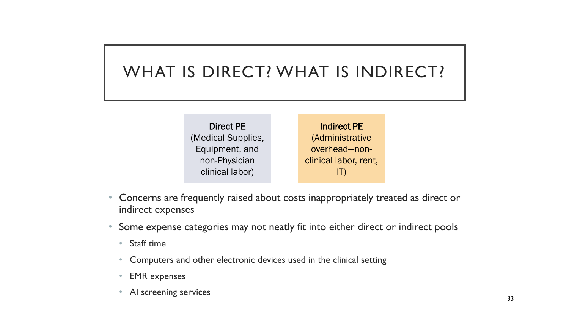# WHAT IS DIRECT? WHAT IS INDIRECT?

Direct PE (Medical Supplies, Equipment, and non-Physician clinical labor) Indirect PE (Administrative overhead—nonclinical labor, rent, IT)

- Concerns are frequently raised about costs inappropriately treated as direct or indirect expenses
- Some expense categories may not neatly fit into either direct or indirect pools
	- Staff time
	- Computers and other electronic devices used in the clinical setting
	- EMR expenses
	- AI screening services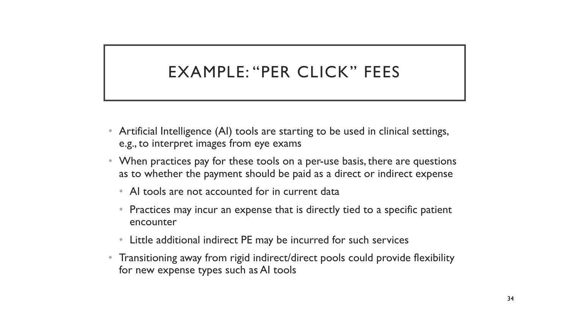# EXAMPLE: "PER CLICK" FEES

- Artificial Intelligence (AI) tools are starting to be used in clinical settings, e.g., to interpret images from eye exams
- When practices pay for these tools on a per-use basis, there are questions as to whether the payment should be paid as a direct or indirect expense
	- AI tools are not accounted for in current data
	- Practices may incur an expense that is directly tied to a specific patient encounter
	- Little additional indirect PE may be incurred for such services
- Transitioning away from rigid indirect/direct pools could provide flexibility for new expense types such as AI tools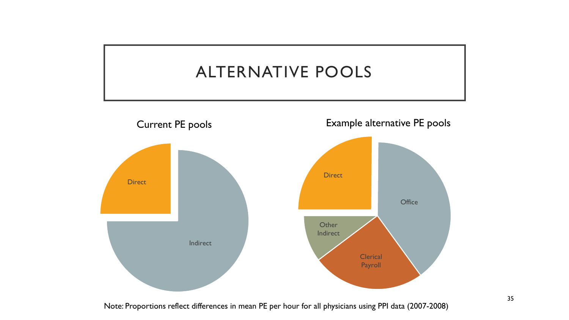

Note: Proportions reflect differences in mean PE per hour for all physicians using PPI data (2007-2008)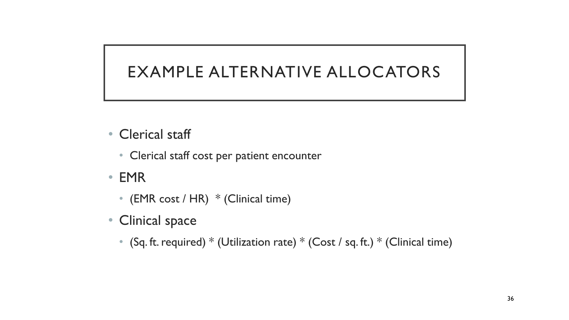### EXAMPLE ALTERNATIVE ALLOCATORS

- Clerical staff
	- Clerical staff cost per patient encounter
- EMR
	- (EMR cost / HR) \* (Clinical time)
- Clinical space
	- (Sq. ft. required)  $*$  (Utilization rate)  $*$  (Cost / sq. ft.)  $*$  (Clinical time)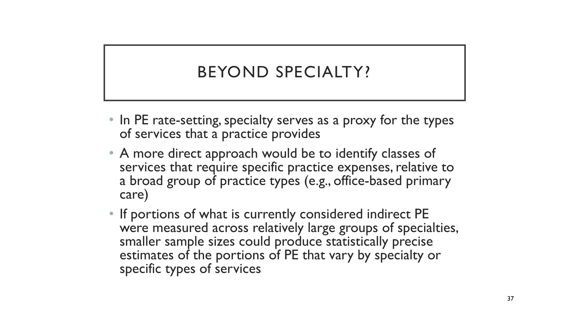# BEYOND SPECIALTY?

- In PE rate-setting, specialty serves as a proxy for the types of services that a practice provides
- A more direct approach would be to identify classes of services that require specific practice expenses, relative to a broad group of practice types (e.g., office-based primary care)
- If portions of what is currently considered indirect PE were measured across relatively large groups of specialties, smaller sample sizes could produce statistically precise estimates of the portions of PE that vary by specialty or specific types of services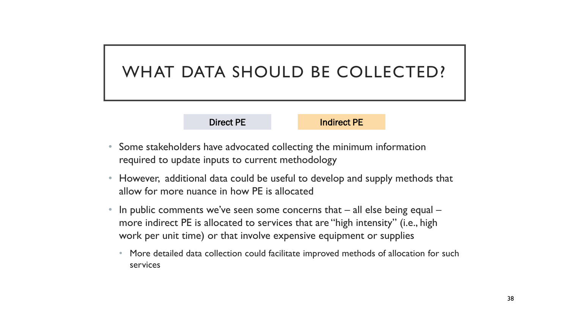## WHAT DATA SHOULD BE COLLECTED?

Direct PE **Indirect PE** 

- Some stakeholders have advocated collecting the minimum information required to update inputs to current methodology
- However, additional data could be useful to develop and supply methods that allow for more nuance in how PE is allocated
- In public comments we've seen some concerns that  $-$  all else being equal  $$ more indirect PE is allocated to services that are "high intensity" (i.e., high work per unit time) or that involve expensive equipment or supplies
	- More detailed data collection could facilitate improved methods of allocation for such services